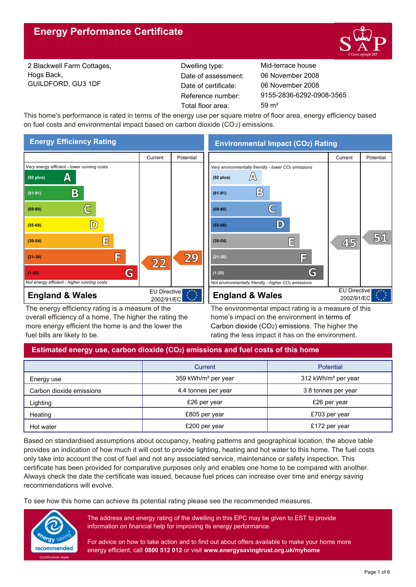

2 Blackwell Farm Cottages, Hogs Back, GUILDFORD, GU3 1DF

Reference number: Dwelling type: Mid-terrace house Date of certificate: Total floor area: 59 m<sup>2</sup> Date of assessment:

9155-2836-6292-0908-3565 06 November 2008 06 November 2008

This home's performance is rated in terms of the energy use per square metre of floor area, energy efficiency based on fuel costs and environmental impact based on carbon dioxide (CO2) emissions.



The energy efficiency rating is a measure of the overall efficiency of a home. The higher the rating the more energy efficient the home is and the lower the fuel bills are likely to be.

**Environmental Impact (CO2) Rating**



The environmental impact rating is a measure of this home's impact on the environment in terms of Carbon dioxide (CO2) emissions. The higher the rating the less impact it has on the environment.

## **Estimated energy use, carbon dioxide (CO2) emissions and fuel costs of this home**

|                          | Current                         | <b>Potential</b>                |
|--------------------------|---------------------------------|---------------------------------|
| Energy use               | 359 kWh/m <sup>2</sup> per year | 312 kWh/m <sup>2</sup> per year |
| Carbon dioxide emissions | 4.4 tonnes per year             | 3.8 tonnes per year             |
| Lighting                 | £26 per year                    | £26 per year                    |
| Heating                  | £805 per year                   | £703 per year                   |
| Hot water                | £200 per year                   | £172 per year                   |

Based on standardised assumptions about occupancy, heating patterns and geographical location, the above table provides an indication of how much it will cost to provide lighting, heating and hot water to this home. The fuel costs only take into account the cost of fuel and not any associated service, maintenance or safety inspection. This certificate has been provided for comparative purposes only and enables one home to be compared with another. Always check the date the certificate was issued, because fuel prices can increase over time and energy saving recommendations will evolve.

To see how this home can achieve its potential rating please see the recommended measures.



The address and energy rating of the dwelling in this EPC may be given to EST to provide information on financial help for improving its energy performance.

For advice on how to take action and to find out about offers available to make your home more energy efficient, call **0800 512 012** or visit **www.energysavingtrust.org.uk/myhome**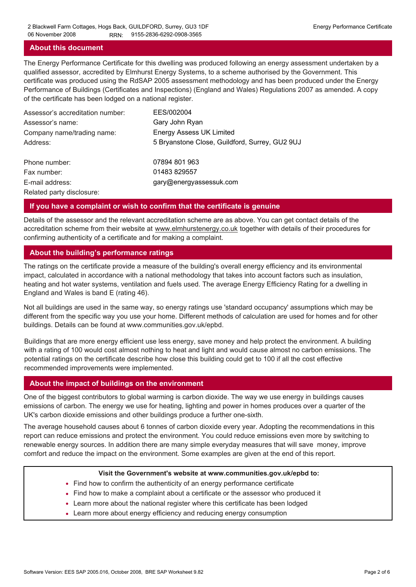## **About this document**

The Energy Performance Certificate for this dwelling was produced following an energy assessment undertaken by a qualified assessor, accredited by Elmhurst Energy Systems, to a scheme authorised by the Government. This certificate was produced using the RdSAP 2005 assessment methodology and has been produced under the Energy Performance of Buildings (Certificates and Inspections) (England and Wales) Regulations 2007 as amended. A copy of the certificate has been lodged on a national register.

| Assessor's accreditation number: | EES/002004                                     |
|----------------------------------|------------------------------------------------|
| Assessor's name:                 | Gary John Ryan                                 |
| Company name/trading name:       | <b>Energy Assess UK Limited</b>                |
| Address:                         | 5 Bryanstone Close, Guildford, Surrey, GU2 9UJ |
| Phone number:                    | 07894 801 963                                  |
| Fax number:                      | 01483 829557                                   |
| E-mail address:                  | gary@energyassessuk.com                        |
| Related party disclosure:        |                                                |

## **If you have a complaint or wish to confirm that the certificate is genuine**

Details of the assessor and the relevant accreditation scheme are as above. You can get contact details of the accreditation scheme from their website at www.elmhurstenergy.co.uk together with details of their procedures for confirming authenticity of a certificate and for making a complaint.

## **About the building's performance ratings**

The ratings on the certificate provide a measure of the building's overall energy efficiency and its environmental impact, calculated in accordance with a national methodology that takes into account factors such as insulation, heating and hot water systems, ventilation and fuels used. The average Energy Efficiency Rating for a dwelling in England and Wales is band E (rating 46).

Not all buildings are used in the same way, so energy ratings use 'standard occupancy' assumptions which may be different from the specific way you use your home. Different methods of calculation are used for homes and for other buildings. Details can be found at www.communities.gov.uk/epbd.

Buildings that are more energy efficient use less energy, save money and help protect the environment. A building with a rating of 100 would cost almost nothing to heat and light and would cause almost no carbon emissions. The potential ratings on the certificate describe how close this building could get to 100 if all the cost effective recommended improvements were implemented.

## **About the impact of buildings on the environment**

One of the biggest contributors to global warming is carbon dioxide. The way we use energy in buildings causes emissions of carbon. The energy we use for heating, lighting and power in homes produces over a quarter of the UK's carbon dioxide emissions and other buildings produce a further one-sixth.

The average household causes about 6 tonnes of carbon dioxide every year. Adopting the recommendations in this report can reduce emissions and protect the environment. You could reduce emissions even more by switching to renewable energy sources. In addition there are many simple everyday measures that will save money, improve comfort and reduce the impact on the environment. Some examples are given at the end of this report.

## **Visit the Government's website at www.communities.gov.uk/epbd to:**

- Find how to confirm the authenticity of an energy performance certificate
- Find how to make a complaint about a certificate or the assessor who produced it •
- Learn more about the national register where this certificate has been lodged •
- Learn more about energy efficiency and reducing energy consumption •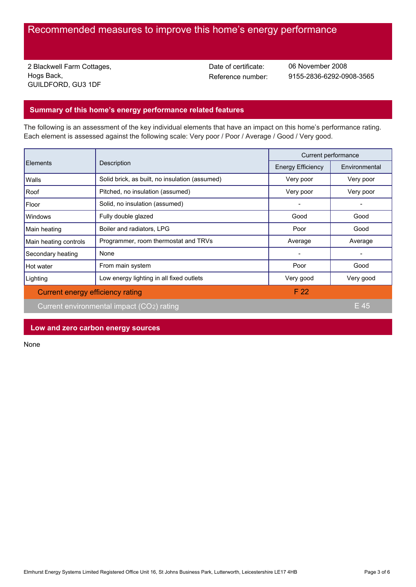# Recommended measures to improve this home's energy performance

2 Blackwell Farm Cottages, Hogs Back, GUILDFORD, GU3 1DF

Date of certificate:

Reference number: 9155-2836-6292-0908-3565 06 November 2008

## **Summary of this home's energy performance related features**

The following is an assessment of the key individual elements that have an impact on this home's performance rating. Each element is assessed against the following scale: Very poor / Poor / Average / Good / Very good.

| Elements                         | Description                                    | Current performance      |               |
|----------------------------------|------------------------------------------------|--------------------------|---------------|
|                                  |                                                | <b>Energy Efficiency</b> | Environmental |
| Walls                            | Solid brick, as built, no insulation (assumed) | Very poor                | Very poor     |
| Roof                             | Pitched, no insulation (assumed)               | Very poor                | Very poor     |
| Floor                            | Solid, no insulation (assumed)                 |                          |               |
| Windows                          | Fully double glazed                            | Good                     | Good          |
| Main heating                     | Boiler and radiators, LPG                      | Poor                     | Good          |
| Main heating controls            | Programmer, room thermostat and TRVs           | Average                  | Average       |
| Secondary heating                | None                                           |                          |               |
| Hot water                        | From main system                               | Poor                     | Good          |
| Lighting                         | Low energy lighting in all fixed outlets       | Very good                | Very good     |
| Current energy efficiency rating |                                                | F 22                     |               |
|                                  | Current environmental impact (CO2) rating      |                          | $E$ 45        |

**Low and zero carbon energy sources**

None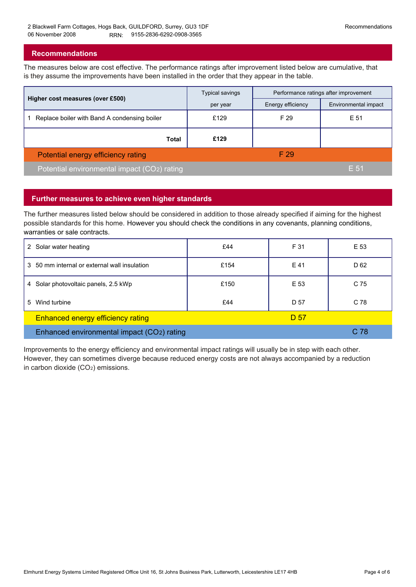## **Recommendations**

The measures below are cost effective. The performance ratings after improvement listed below are cumulative, that is they assume the improvements have been installed in the order that they appear in the table.

|                                              | Typical savings | Performance ratings after improvement |                      |
|----------------------------------------------|-----------------|---------------------------------------|----------------------|
| Higher cost measures (over £500)             | per year        | Energy efficiency                     | Environmental impact |
| Replace boiler with Band A condensing boiler | £129            | F 29                                  | E 51                 |
| Total                                        | £129            |                                       |                      |
| Potential energy efficiency rating           |                 | F 29                                  |                      |
| Potential environmental impact (CO2) rating  |                 |                                       | E <sub>51</sub>      |

## **Further measures to achieve even higher standards**

The further measures listed below should be considered in addition to those already specified if aiming for the highest possible standards for this home. However you should check the conditions in any covenants, planning conditions, warranties or sale contracts.

| 2 Solar water heating                        | £44  | F 31 | E 53 |
|----------------------------------------------|------|------|------|
| 3 50 mm internal or external wall insulation | £154 | E 41 | D 62 |
| 4 Solar photovoltaic panels, 2.5 kWp         | £150 | E 53 | C 75 |
| 5 Wind turbine                               | £44  | D 57 | C 78 |
| <b>Enhanced energy efficiency rating</b>     | D 57 |      |      |
| Enhanced environmental impact (CO2) rating   |      |      | C 78 |

Improvements to the energy efficiency and environmental impact ratings will usually be in step with each other. However, they can sometimes diverge because reduced energy costs are not always accompanied by a reduction in carbon dioxide (CO2) emissions.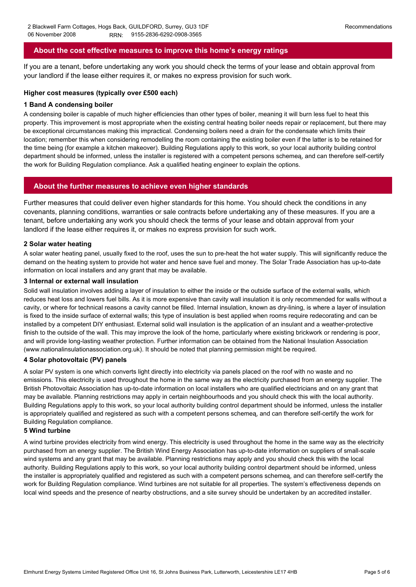## **About the cost effective measures to improve this home's energy ratings**

If you are a tenant, before undertaking any work you should check the terms of your lease and obtain approval from your landlord if the lease either requires it, or makes no express provision for such work.

#### **Higher cost measures (typically over £500 each)**

#### **1 Band A condensing boiler**

A condensing boiler is capable of much higher efficiencies than other types of boiler, meaning it will burn less fuel to heat this property. This improvement is most appropriate when the existing central heating boiler needs repair or replacement, but there may be exceptional circumstances making this impractical. Condensing boilers need a drain for the condensate which limits their location; remember this when considering remodelling the room containing the existing boiler even if the latter is to be retained for the time being (for example a kitchen makeover). Building Regulations apply to this work, so your local authority building control department should be informed, unless the installer is registered with a competent persons schemeą, and can therefore self-certify the work for Building Regulation compliance. Ask a qualified heating engineer to explain the options.

## **About the further measures to achieve even higher standards**

Further measures that could deliver even higher standards for this home. You should check the conditions in any covenants, planning conditions, warranties or sale contracts before undertaking any of these measures. If you are a tenant, before undertaking any work you should check the terms of your lease and obtain approval from your landlord if the lease either requires it, or makes no express provision for such work.

#### **2 Solar water heating**

A solar water heating panel, usually fixed to the roof, uses the sun to pre-heat the hot water supply. This will significantly reduce the demand on the heating system to provide hot water and hence save fuel and money. The Solar Trade Association has up-to-date information on local installers and any grant that may be available.

#### **3 Internal or external wall insulation**

Solid wall insulation involves adding a layer of insulation to either the inside or the outside surface of the external walls, which reduces heat loss and lowers fuel bills. As it is more expensive than cavity wall insulation it is only recommended for walls without a cavity, or where for technical reasons a cavity cannot be filled. Internal insulation, known as dry-lining, is where a layer of insulation is fixed to the inside surface of external walls; this type of insulation is best applied when rooms require redecorating and can be installed by a competent DIY enthusiast. External solid wall insulation is the application of an insulant and a weather-protective finish to the outside of the wall. This may improve the look of the home, particularly where existing brickwork or rendering is poor, and will provide long-lasting weather protection. Further information can be obtained from the National Insulation Association (www.nationalinsulationassociation.org.uk). It should be noted that planning permission might be required.

## **4 Solar photovoltaic (PV) panels**

A solar PV system is one which converts light directly into electricity via panels placed on the roof with no waste and no emissions. This electricity is used throughout the home in the same way as the electricity purchased from an energy supplier. The British Photovoltaic Association has up-to-date information on local installers who are qualified electricians and on any grant that may be available. Planning restrictions may apply in certain neighbourhoods and you should check this with the local authority. Building Regulations apply to this work, so your local authority building control department should be informed, unless the installer is appropriately qualified and registered as such with a competent persons schemeą, and can therefore self-certify the work for Building Regulation compliance.

## **5 Wind turbine**

A wind turbine provides electricity from wind energy. This electricity is used throughout the home in the same way as the electricity purchased from an energy supplier. The British Wind Energy Association has up-to-date information on suppliers of small-scale wind systems and any grant that may be available. Planning restrictions may apply and you should check this with the local authority. Building Regulations apply to this work, so your local authority building control department should be informed, unless the installer is appropriately qualified and registered as such with a competent persons schemeą, and can therefore self-certify the work for Building Regulation compliance. Wind turbines are not suitable for all properties. The system's effectiveness depends on local wind speeds and the presence of nearby obstructions, and a site survey should be undertaken by an accredited installer.